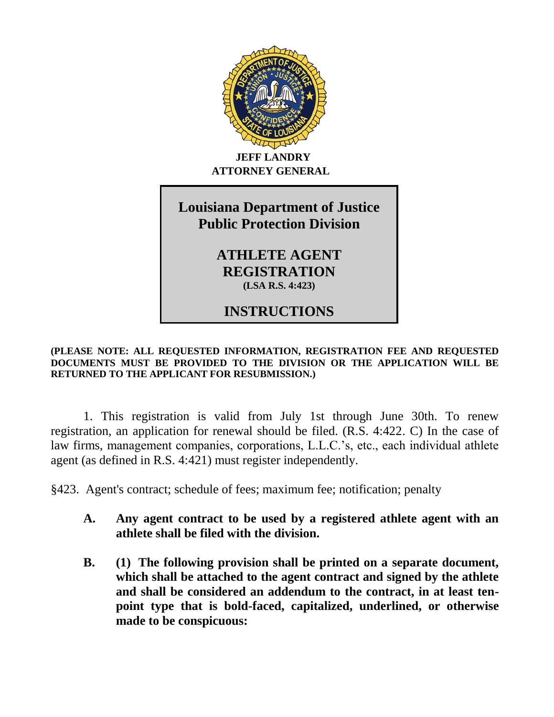

## **JEFF LANDRY ATTORNEY GENERAL**

**Louisiana Department of Justice**

# **Louisiana Department of Justice Public Protection Division ANHLET COOMEN 2171**

**ATHLETE AGENT**  $\overline{\text{REGISTRATION}}$ **(LSA R.S. 4:423)** 

## **INSTRUCTIONS PURSUANT TO LOUISIANA ACT 302 OF 1999**

## **(PLEASE NOTE: ALL REQUESTED INFORMATION, REGISTRATION FEE AND REQUESTED DOCUMENTS MUST BE PROVIDED TO THE DIVISION OR THE APPLICATION WILL BE RETURNED TO THE APPLICANT FOR RESUBMISSION.)**

1. This registration is valid from July 1st through June 30th. To renew registration, an application for renewal should be filed. (R.S. 4:422. C) In the case of law firms, management companies, corporations, L.L.C.'s, etc., each individual athlete agent (as defined in R.S. 4:421) must register independently.

§423. Agent's contract; schedule of fees; maximum fee; notification; penalty

- **A. Any agent contract to be used by a registered athlete agent with an athlete shall be filed with the division.**
- **B. (1) The following provision shall be printed on a separate document, which shall be attached to the agent contract and signed by the athlete and shall be considered an addendum to the contract, in at least tenpoint type that is bold-faced, capitalized, underlined, or otherwise made to be conspicuous:**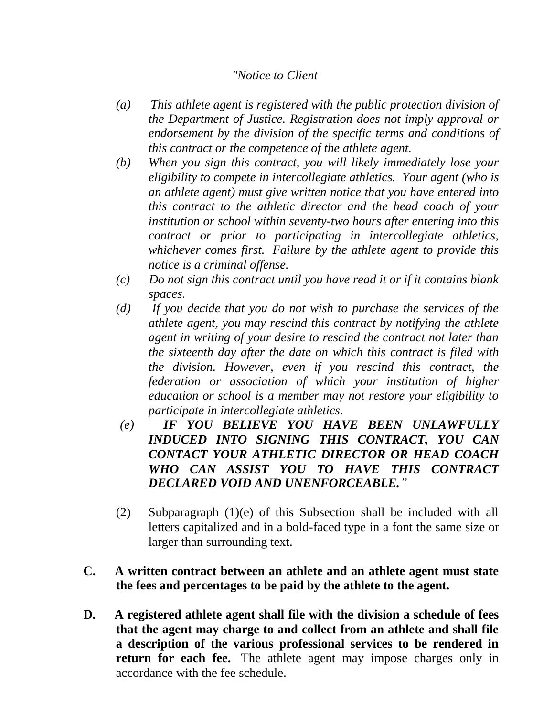## *"Notice to Client*

- *(a) This athlete agent is registered with the public protection division of the Department of Justice. Registration does not imply approval or endorsement by the division of the specific terms and conditions of this contract or the competence of the athlete agent.*
- *(b) When you sign this contract, you will likely immediately lose your eligibility to compete in intercollegiate athletics. Your agent (who is an athlete agent) must give written notice that you have entered into this contract to the athletic director and the head coach of your institution or school within seventy-two hours after entering into this contract or prior to participating in intercollegiate athletics, whichever comes first. Failure by the athlete agent to provide this notice is a criminal offense.*
- *(c) Do not sign this contract until you have read it or if it contains blank spaces.*
- *(d) If you decide that you do not wish to purchase the services of the athlete agent, you may rescind this contract by notifying the athlete agent in writing of your desire to rescind the contract not later than the sixteenth day after the date on which this contract is filed with the division. However, even if you rescind this contract, the federation or association of which your institution of higher education or school is a member may not restore your eligibility to participate in intercollegiate athletics.*
- *(e) IF YOU BELIEVE YOU HAVE BEEN UNLAWFULLY INDUCED INTO SIGNING THIS CONTRACT, YOU CAN CONTACT YOUR ATHLETIC DIRECTOR OR HEAD COACH WHO CAN ASSIST YOU TO HAVE THIS CONTRACT DECLARED VOID AND UNENFORCEABLE."*
- (2) Subparagraph (1)(e) of this Subsection shall be included with all letters capitalized and in a bold-faced type in a font the same size or larger than surrounding text.
- **C. A written contract between an athlete and an athlete agent must state the fees and percentages to be paid by the athlete to the agent.**
- **D. A registered athlete agent shall file with the division a schedule of fees that the agent may charge to and collect from an athlete and shall file a description of the various professional services to be rendered in return for each fee.** The athlete agent may impose charges only in accordance with the fee schedule.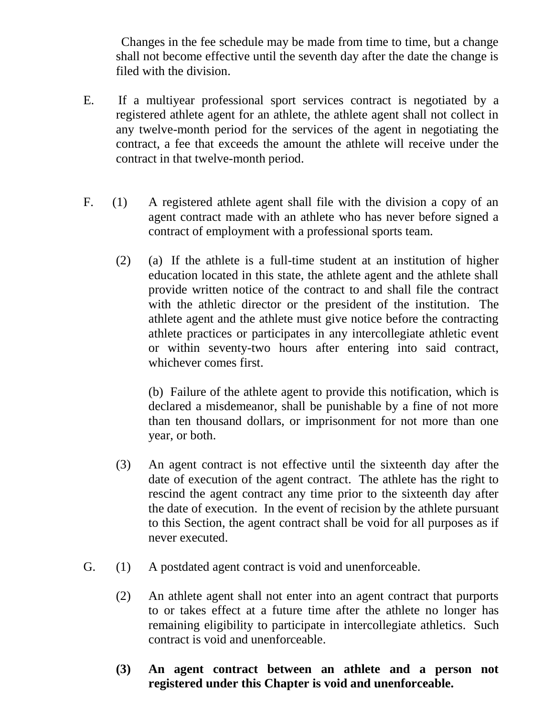Changes in the fee schedule may be made from time to time, but a change shall not become effective until the seventh day after the date the change is filed with the division.

- E. If a multiyear professional sport services contract is negotiated by a registered athlete agent for an athlete, the athlete agent shall not collect in any twelve-month period for the services of the agent in negotiating the contract, a fee that exceeds the amount the athlete will receive under the contract in that twelve-month period.
- F. (1) A registered athlete agent shall file with the division a copy of an agent contract made with an athlete who has never before signed a contract of employment with a professional sports team.
	- (2) (a) If the athlete is a full-time student at an institution of higher education located in this state, the athlete agent and the athlete shall provide written notice of the contract to and shall file the contract with the athletic director or the president of the institution. The athlete agent and the athlete must give notice before the contracting athlete practices or participates in any intercollegiate athletic event or within seventy-two hours after entering into said contract, whichever comes first.

(b) Failure of the athlete agent to provide this notification, which is declared a misdemeanor, shall be punishable by a fine of not more than ten thousand dollars, or imprisonment for not more than one year, or both.

- (3) An agent contract is not effective until the sixteenth day after the date of execution of the agent contract. The athlete has the right to rescind the agent contract any time prior to the sixteenth day after the date of execution. In the event of recision by the athlete pursuant to this Section, the agent contract shall be void for all purposes as if never executed.
- G. (1) A postdated agent contract is void and unenforceable.
	- (2) An athlete agent shall not enter into an agent contract that purports to or takes effect at a future time after the athlete no longer has remaining eligibility to participate in intercollegiate athletics. Such contract is void and unenforceable.
	- **(3) An agent contract between an athlete and a person not registered under this Chapter is void and unenforceable.**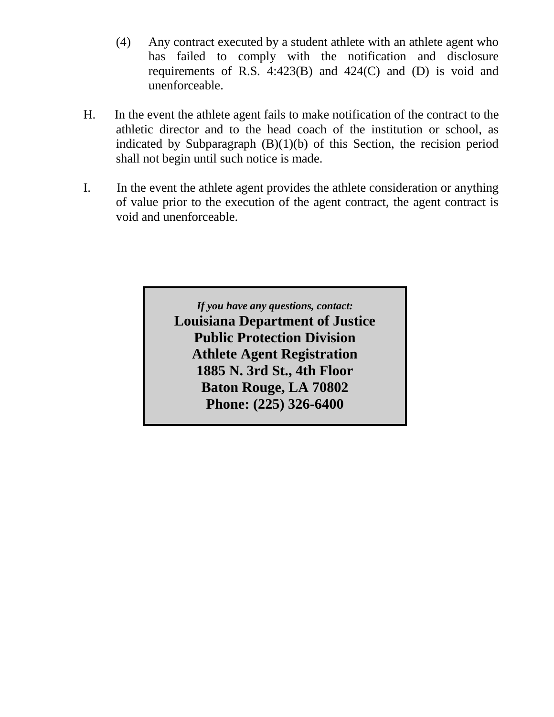- (4) Any contract executed by a student athlete with an athlete agent who has failed to comply with the notification and disclosure requirements of R.S. 4:423(B) and 424(C) and (D) is void and unenforceable.
- H. In the event the athlete agent fails to make notification of the contract to the athletic director and to the head coach of the institution or school, as indicated by Subparagraph  $(B)(1)(b)$  of this Section, the recision period shall not begin until such notice is made.
- I. In the event the athlete agent provides the athlete consideration or anything of value prior to the execution of the agent contract, the agent contract is void and unenforceable.

*If you have any questions, contact:* **Louisiana Department of Justice Public Protection Division Athlete Agent Registration 1885 N. 3rd St., 4th Floor Baton Rouge, LA 70802 Phone: (225) 326-6400**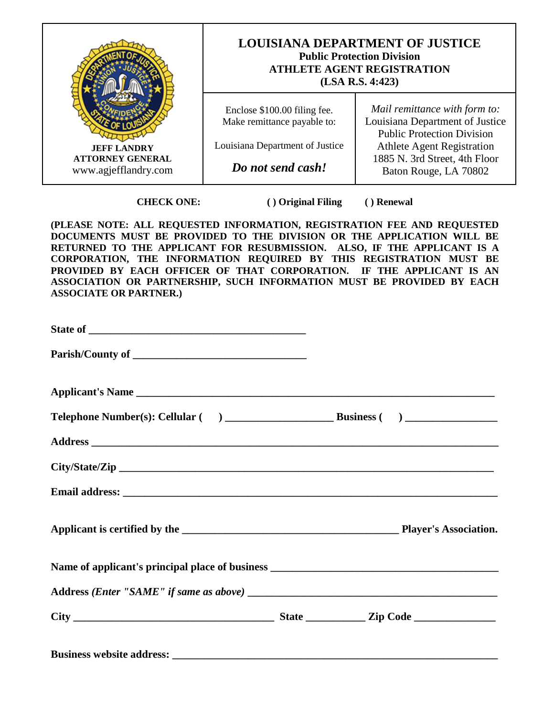

**CHECK ONE:** ( ) Original Filing ( ) Renewal

**(PLEASE NOTE: ALL REQUESTED INFORMATION, REGISTRATION FEE AND REQUESTED DOCUMENTS MUST BE PROVIDED TO THE DIVISION OR THE APPLICATION WILL BE RETURNED TO THE APPLICANT FOR RESUBMISSION. ALSO, IF THE APPLICANT IS A CORPORATION, THE INFORMATION REQUIRED BY THIS REGISTRATION MUST BE PROVIDED BY EACH OFFICER OF THAT CORPORATION. IF THE APPLICANT IS AN ASSOCIATION OR PARTNERSHIP, SUCH INFORMATION MUST BE PROVIDED BY EACH ASSOCIATE OR PARTNER.)** 

| <b>Business website address:</b> <u>contract the set of the set of the set of the set of the set of the set of the set of the set of the set of the set of the set of the set of the set of the set of the set of the set of the set </u> |  |  |
|-------------------------------------------------------------------------------------------------------------------------------------------------------------------------------------------------------------------------------------------|--|--|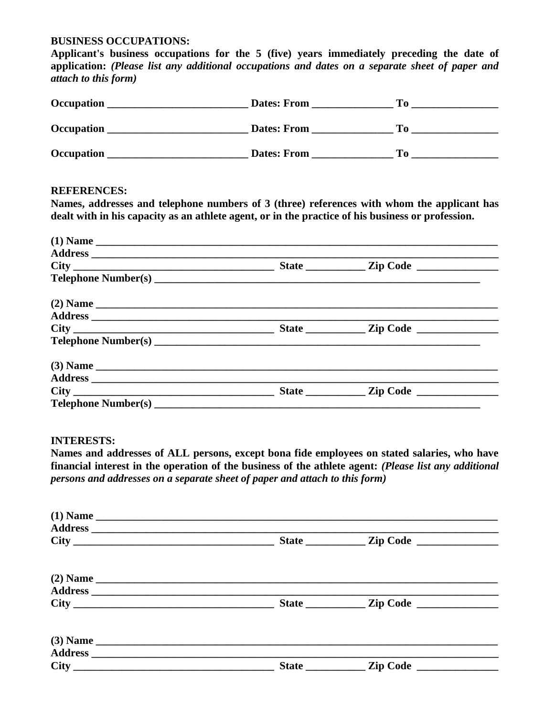## **BUSINESS OCCUPATIONS:**

**Applicant's business occupations for the 5 (five) years immediately preceding the date of application:** *(Please list any additional occupations and dates on a separate sheet of paper and attach to this form)*

| Occupation | <b>Dates: From</b> | To T |  |
|------------|--------------------|------|--|
| Occupation | <b>Dates: From</b> | To.  |  |
| Occupation | <b>Dates: From</b> | То   |  |

#### **REFERENCES:**

**Names, addresses and telephone numbers of 3 (three) references with whom the applicant has dealt with in his capacity as an athlete agent, or in the practice of his business or profession.**

| $(1)$ Name |  |  |
|------------|--|--|
|            |  |  |
|            |  |  |
|            |  |  |
| $(2)$ Name |  |  |
|            |  |  |
|            |  |  |
|            |  |  |
|            |  |  |
|            |  |  |
|            |  |  |
|            |  |  |

#### **INTERESTS:**

**Names and addresses of ALL persons, except bona fide employees on stated salaries, who have financial interest in the operation of the business of the athlete agent:** *(Please list any additional persons and addresses on a separate sheet of paper and attach to this form)*

|            |                | Zip Code |  |
|------------|----------------|----------|--|
| $(2)$ Name |                |          |  |
|            | State $\qquad$ |          |  |
| $(3)$ Name |                |          |  |
|            |                |          |  |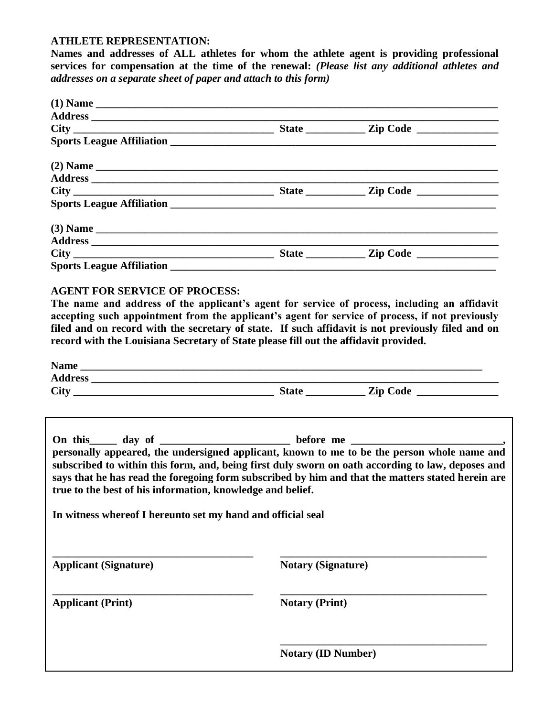#### **ATHLETE REPRESENTATION:**

**Names and addresses of ALL athletes for whom the athlete agent is providing professional services for compensation at the time of the renewal:** *(Please list any additional athletes and addresses on a separate sheet of paper and attach to this form)*

| $(1)$ Name |  |  |
|------------|--|--|
|            |  |  |
|            |  |  |
|            |  |  |
| $(2)$ Name |  |  |
|            |  |  |
|            |  |  |
|            |  |  |
|            |  |  |
|            |  |  |
|            |  |  |
|            |  |  |

## **AGENT FOR SERVICE OF PROCESS:**

**The name and address of the applicant's agent for service of process, including an affidavit accepting such appointment from the applicant's agent for service of process, if not previously filed and on record with the secretary of state. If such affidavit is not previously filed and on record with the Louisiana Secretary of State please fill out the affidavit provided.**

|                                                                                                                           | On this _____ day of _____________________ before me ____________________________                                                                                                                                                                                                                     |
|---------------------------------------------------------------------------------------------------------------------------|-------------------------------------------------------------------------------------------------------------------------------------------------------------------------------------------------------------------------------------------------------------------------------------------------------|
| true to the best of his information, knowledge and belief.<br>In witness whereof I hereunto set my hand and official seal | personally appeared, the undersigned applicant, known to me to be the person whole name and<br>subscribed to within this form, and, being first duly sworn on oath according to law, deposes and<br>says that he has read the foregoing form subscribed by him and that the matters stated herein are |
| <b>Applicant (Signature)</b>                                                                                              | <b>Notary (Signature)</b>                                                                                                                                                                                                                                                                             |
| <b>Applicant (Print)</b>                                                                                                  | <b>Notary (Print)</b>                                                                                                                                                                                                                                                                                 |
|                                                                                                                           |                                                                                                                                                                                                                                                                                                       |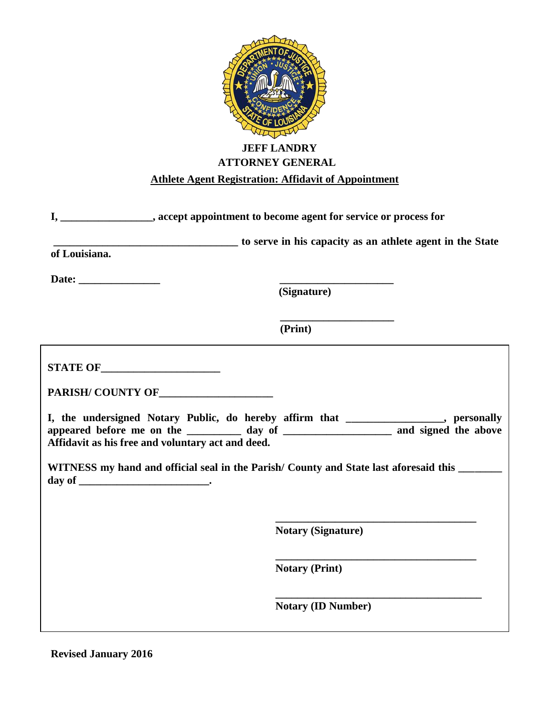

## **JEFF LANDRY ATTORNEY GENERAL**

## **Athlete Agent Registration: Affidavit of Appointment**

| I, ________________, accept appointment to become agent for service or process for           |                                                                                                                                                                                |
|----------------------------------------------------------------------------------------------|--------------------------------------------------------------------------------------------------------------------------------------------------------------------------------|
|                                                                                              | to serve in his capacity as an athlete agent in the State                                                                                                                      |
| of Louisiana.                                                                                |                                                                                                                                                                                |
|                                                                                              |                                                                                                                                                                                |
|                                                                                              | (Signature)                                                                                                                                                                    |
|                                                                                              | (Print)                                                                                                                                                                        |
|                                                                                              |                                                                                                                                                                                |
|                                                                                              |                                                                                                                                                                                |
| Affidavit as his free and voluntary act and deed.                                            | I, the undersigned Notary Public, do hereby affirm that ______________, personally<br>appeared before me on the ___________ day of ______________________ and signed the above |
| WITNESS my hand and official seal in the Parish/County and State last aforesaid this _______ |                                                                                                                                                                                |
|                                                                                              |                                                                                                                                                                                |
|                                                                                              | <b>Notary (Signature)</b>                                                                                                                                                      |
|                                                                                              | <b>Notary (Print)</b>                                                                                                                                                          |
|                                                                                              | <b>Notary (ID Number)</b>                                                                                                                                                      |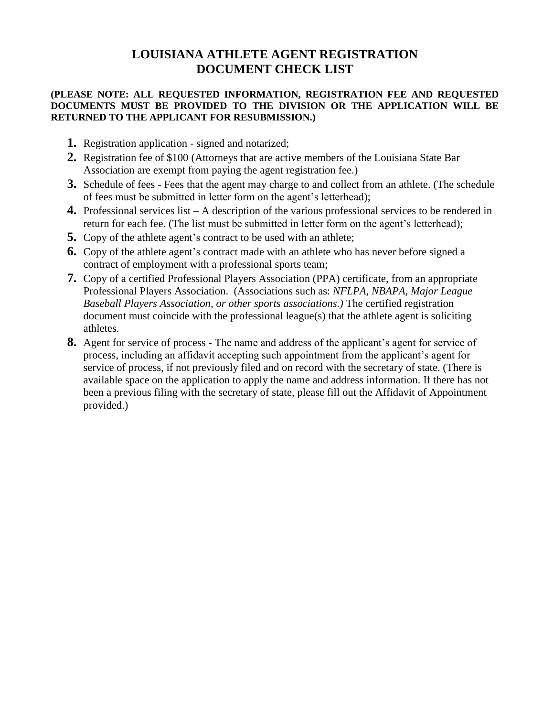## **LOUISIANA ATHLETE AGENT REGISTRATION DOCUMENT CHECK LIST**

### **(PLEASE NOTE: ALL REQUESTED INFORMATION, REGISTRATION FEE AND REQUESTED DOCUMENTS MUST BE PROVIDED TO THE DIVISION OR THE APPLICATION WILL BE RETURNED TO THE APPLICANT FOR RESUBMISSION.)**

- **1.** Registration application signed and notarized;
- **2.** Registration fee of \$100 (Attorneys that are active members of the Louisiana State Bar Association are exempt from paying the agent registration fee.)
- **3.** Schedule of fees Fees that the agent may charge to and collect from an athlete. (The schedule of fees must be submitted in letter form on the agent's letterhead);
- **4.** Professional services list A description of the various professional services to be rendered in return for each fee. (The list must be submitted in letter form on the agent's letterhead);
- **5.** Copy of the athlete agent's contract to be used with an athlete;
- **6.** Copy of the athlete agent's contract made with an athlete who has never before signed a contract of employment with a professional sports team;
- **7.** Copy of a certified Professional Players Association (PPA) certificate, from an appropriate Professional Players Association. (Associations such as: *NFLPA, NBAPA, Major League Baseball Players Association, or other sports associations.)* The certified registration document must coincide with the professional league(s) that the athlete agent is soliciting athletes.
- **8.** Agent for service of process The name and address of the applicant's agent for service of process, including an affidavit accepting such appointment from the applicant's agent for service of process, if not previously filed and on record with the secretary of state. (There is available space on the application to apply the name and address information. If there has not been a previous filing with the secretary of state, please fill out the Affidavit of Appointment provided.)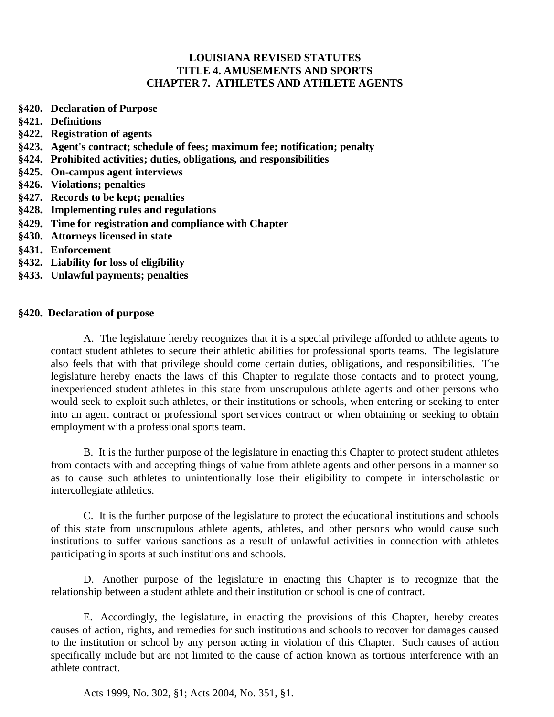## **LOUISIANA REVISED STATUTES TITLE 4. AMUSEMENTS AND SPORTS CHAPTER 7. ATHLETES AND ATHLETE AGENTS**

- **§420. Declaration of Purpose**
- **§421. Definitions**
- **§422. Registration of agents**
- **§423. Agent's contract; schedule of fees; maximum fee; notification; penalty**
- **§424. Prohibited activities; duties, obligations, and responsibilities**
- **§425. On-campus agent interviews**
- **§426. Violations; penalties**
- **§427. Records to be kept; penalties**
- **§428. Implementing rules and regulations**
- **§429. Time for registration and compliance with Chapter**
- **§430. Attorneys licensed in state**
- **§431. Enforcement**
- **§432. Liability for loss of eligibility**
- **§433. Unlawful payments; penalties**

#### **§420. Declaration of purpose**

A. The legislature hereby recognizes that it is a special privilege afforded to athlete agents to contact student athletes to secure their athletic abilities for professional sports teams. The legislature also feels that with that privilege should come certain duties, obligations, and responsibilities. The legislature hereby enacts the laws of this Chapter to regulate those contacts and to protect young, inexperienced student athletes in this state from unscrupulous athlete agents and other persons who would seek to exploit such athletes, or their institutions or schools, when entering or seeking to enter into an agent contract or professional sport services contract or when obtaining or seeking to obtain employment with a professional sports team.

B. It is the further purpose of the legislature in enacting this Chapter to protect student athletes from contacts with and accepting things of value from athlete agents and other persons in a manner so as to cause such athletes to unintentionally lose their eligibility to compete in interscholastic or intercollegiate athletics.

C. It is the further purpose of the legislature to protect the educational institutions and schools of this state from unscrupulous athlete agents, athletes, and other persons who would cause such institutions to suffer various sanctions as a result of unlawful activities in connection with athletes participating in sports at such institutions and schools.

D. Another purpose of the legislature in enacting this Chapter is to recognize that the relationship between a student athlete and their institution or school is one of contract.

E. Accordingly, the legislature, in enacting the provisions of this Chapter, hereby creates causes of action, rights, and remedies for such institutions and schools to recover for damages caused to the institution or school by any person acting in violation of this Chapter. Such causes of action specifically include but are not limited to the cause of action known as tortious interference with an athlete contract.

Acts 1999, No. 302, §1; Acts 2004, No. 351, §1.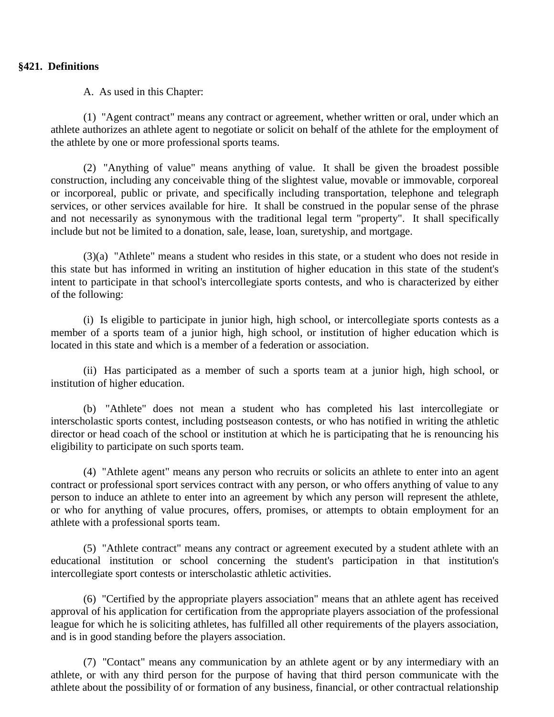### **§421. Definitions**

A. As used in this Chapter:

(1) "Agent contract" means any contract or agreement, whether written or oral, under which an athlete authorizes an athlete agent to negotiate or solicit on behalf of the athlete for the employment of the athlete by one or more professional sports teams.

(2) "Anything of value" means anything of value. It shall be given the broadest possible construction, including any conceivable thing of the slightest value, movable or immovable, corporeal or incorporeal, public or private, and specifically including transportation, telephone and telegraph services, or other services available for hire. It shall be construed in the popular sense of the phrase and not necessarily as synonymous with the traditional legal term "property". It shall specifically include but not be limited to a donation, sale, lease, loan, suretyship, and mortgage.

(3)(a) "Athlete" means a student who resides in this state, or a student who does not reside in this state but has informed in writing an institution of higher education in this state of the student's intent to participate in that school's intercollegiate sports contests, and who is characterized by either of the following:

(i) Is eligible to participate in junior high, high school, or intercollegiate sports contests as a member of a sports team of a junior high, high school, or institution of higher education which is located in this state and which is a member of a federation or association.

(ii) Has participated as a member of such a sports team at a junior high, high school, or institution of higher education.

(b) "Athlete" does not mean a student who has completed his last intercollegiate or interscholastic sports contest, including postseason contests, or who has notified in writing the athletic director or head coach of the school or institution at which he is participating that he is renouncing his eligibility to participate on such sports team.

(4) "Athlete agent" means any person who recruits or solicits an athlete to enter into an agent contract or professional sport services contract with any person, or who offers anything of value to any person to induce an athlete to enter into an agreement by which any person will represent the athlete, or who for anything of value procures, offers, promises, or attempts to obtain employment for an athlete with a professional sports team.

(5) "Athlete contract" means any contract or agreement executed by a student athlete with an educational institution or school concerning the student's participation in that institution's intercollegiate sport contests or interscholastic athletic activities.

(6) "Certified by the appropriate players association" means that an athlete agent has received approval of his application for certification from the appropriate players association of the professional league for which he is soliciting athletes, has fulfilled all other requirements of the players association, and is in good standing before the players association.

(7) "Contact" means any communication by an athlete agent or by any intermediary with an athlete, or with any third person for the purpose of having that third person communicate with the athlete about the possibility of or formation of any business, financial, or other contractual relationship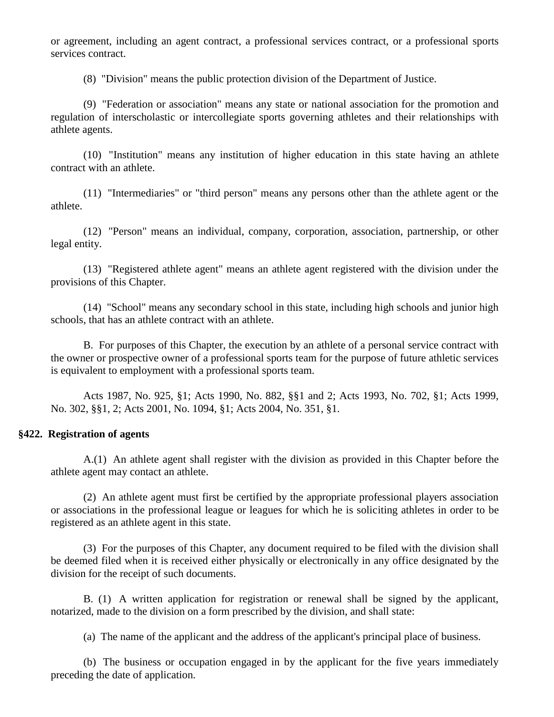or agreement, including an agent contract, a professional services contract, or a professional sports services contract.

(8) "Division" means the public protection division of the Department of Justice.

(9) "Federation or association" means any state or national association for the promotion and regulation of interscholastic or intercollegiate sports governing athletes and their relationships with athlete agents.

(10) "Institution" means any institution of higher education in this state having an athlete contract with an athlete.

(11) "Intermediaries" or "third person" means any persons other than the athlete agent or the athlete.

(12) "Person" means an individual, company, corporation, association, partnership, or other legal entity.

(13) "Registered athlete agent" means an athlete agent registered with the division under the provisions of this Chapter.

(14) "School" means any secondary school in this state, including high schools and junior high schools, that has an athlete contract with an athlete.

B. For purposes of this Chapter, the execution by an athlete of a personal service contract with the owner or prospective owner of a professional sports team for the purpose of future athletic services is equivalent to employment with a professional sports team.

Acts 1987, No. 925, §1; Acts 1990, No. 882, §§1 and 2; Acts 1993, No. 702, §1; Acts 1999, No. 302, §§1, 2; Acts 2001, No. 1094, §1; Acts 2004, No. 351, §1.

#### **§422. Registration of agents**

A.(1) An athlete agent shall register with the division as provided in this Chapter before the athlete agent may contact an athlete.

(2) An athlete agent must first be certified by the appropriate professional players association or associations in the professional league or leagues for which he is soliciting athletes in order to be registered as an athlete agent in this state.

(3) For the purposes of this Chapter, any document required to be filed with the division shall be deemed filed when it is received either physically or electronically in any office designated by the division for the receipt of such documents.

B. (1) A written application for registration or renewal shall be signed by the applicant, notarized, made to the division on a form prescribed by the division, and shall state:

(a) The name of the applicant and the address of the applicant's principal place of business.

(b) The business or occupation engaged in by the applicant for the five years immediately preceding the date of application.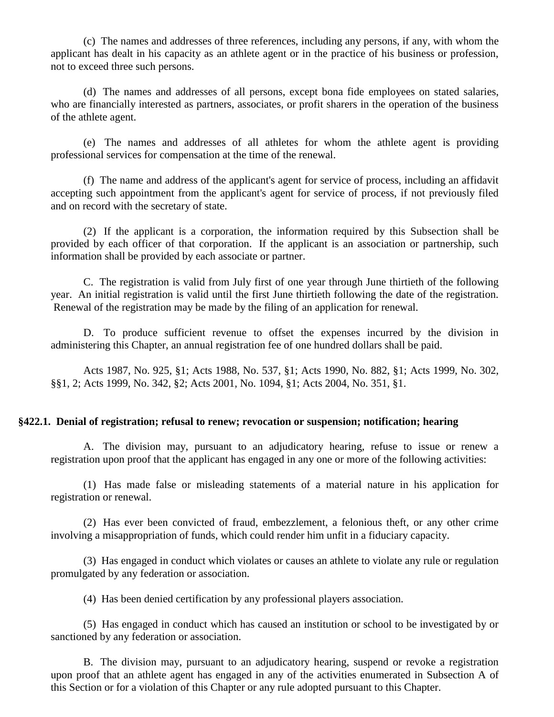(c) The names and addresses of three references, including any persons, if any, with whom the applicant has dealt in his capacity as an athlete agent or in the practice of his business or profession, not to exceed three such persons.

(d) The names and addresses of all persons, except bona fide employees on stated salaries, who are financially interested as partners, associates, or profit sharers in the operation of the business of the athlete agent.

(e) The names and addresses of all athletes for whom the athlete agent is providing professional services for compensation at the time of the renewal.

(f) The name and address of the applicant's agent for service of process, including an affidavit accepting such appointment from the applicant's agent for service of process, if not previously filed and on record with the secretary of state.

(2) If the applicant is a corporation, the information required by this Subsection shall be provided by each officer of that corporation. If the applicant is an association or partnership, such information shall be provided by each associate or partner.

C. The registration is valid from July first of one year through June thirtieth of the following year. An initial registration is valid until the first June thirtieth following the date of the registration. Renewal of the registration may be made by the filing of an application for renewal.

D. To produce sufficient revenue to offset the expenses incurred by the division in administering this Chapter, an annual registration fee of one hundred dollars shall be paid.

Acts 1987, No. 925, §1; Acts 1988, No. 537, §1; Acts 1990, No. 882, §1; Acts 1999, No. 302, §§1, 2; Acts 1999, No. 342, §2; Acts 2001, No. 1094, §1; Acts 2004, No. 351, §1.

#### **§422.1. Denial of registration; refusal to renew; revocation or suspension; notification; hearing**

A. The division may, pursuant to an adjudicatory hearing, refuse to issue or renew a registration upon proof that the applicant has engaged in any one or more of the following activities:

(1) Has made false or misleading statements of a material nature in his application for registration or renewal.

(2) Has ever been convicted of fraud, embezzlement, a felonious theft, or any other crime involving a misappropriation of funds, which could render him unfit in a fiduciary capacity.

(3) Has engaged in conduct which violates or causes an athlete to violate any rule or regulation promulgated by any federation or association.

(4) Has been denied certification by any professional players association.

(5) Has engaged in conduct which has caused an institution or school to be investigated by or sanctioned by any federation or association.

B. The division may, pursuant to an adjudicatory hearing, suspend or revoke a registration upon proof that an athlete agent has engaged in any of the activities enumerated in Subsection A of this Section or for a violation of this Chapter or any rule adopted pursuant to this Chapter.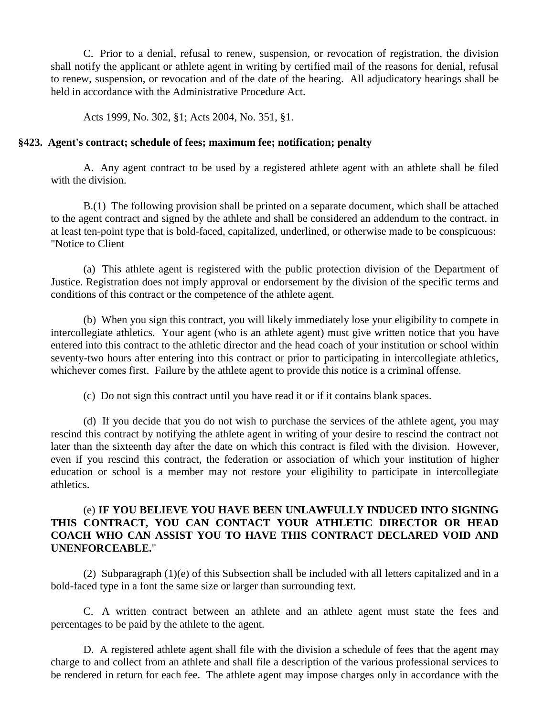C. Prior to a denial, refusal to renew, suspension, or revocation of registration, the division shall notify the applicant or athlete agent in writing by certified mail of the reasons for denial, refusal to renew, suspension, or revocation and of the date of the hearing. All adjudicatory hearings shall be held in accordance with the Administrative Procedure Act.

Acts 1999, No. 302, §1; Acts 2004, No. 351, §1.

#### **§423. Agent's contract; schedule of fees; maximum fee; notification; penalty**

A. Any agent contract to be used by a registered athlete agent with an athlete shall be filed with the division.

B.(1) The following provision shall be printed on a separate document, which shall be attached to the agent contract and signed by the athlete and shall be considered an addendum to the contract, in at least ten-point type that is bold-faced, capitalized, underlined, or otherwise made to be conspicuous: "Notice to Client

(a) This athlete agent is registered with the public protection division of the Department of Justice. Registration does not imply approval or endorsement by the division of the specific terms and conditions of this contract or the competence of the athlete agent.

(b) When you sign this contract, you will likely immediately lose your eligibility to compete in intercollegiate athletics. Your agent (who is an athlete agent) must give written notice that you have entered into this contract to the athletic director and the head coach of your institution or school within seventy-two hours after entering into this contract or prior to participating in intercollegiate athletics, whichever comes first. Failure by the athlete agent to provide this notice is a criminal offense.

(c) Do not sign this contract until you have read it or if it contains blank spaces.

(d) If you decide that you do not wish to purchase the services of the athlete agent, you may rescind this contract by notifying the athlete agent in writing of your desire to rescind the contract not later than the sixteenth day after the date on which this contract is filed with the division. However, even if you rescind this contract, the federation or association of which your institution of higher education or school is a member may not restore your eligibility to participate in intercollegiate athletics.

## (e) **IF YOU BELIEVE YOU HAVE BEEN UNLAWFULLY INDUCED INTO SIGNING THIS CONTRACT, YOU CAN CONTACT YOUR ATHLETIC DIRECTOR OR HEAD COACH WHO CAN ASSIST YOU TO HAVE THIS CONTRACT DECLARED VOID AND UNENFORCEABLE.**"

(2) Subparagraph (1)(e) of this Subsection shall be included with all letters capitalized and in a bold-faced type in a font the same size or larger than surrounding text.

C. A written contract between an athlete and an athlete agent must state the fees and percentages to be paid by the athlete to the agent.

D. A registered athlete agent shall file with the division a schedule of fees that the agent may charge to and collect from an athlete and shall file a description of the various professional services to be rendered in return for each fee. The athlete agent may impose charges only in accordance with the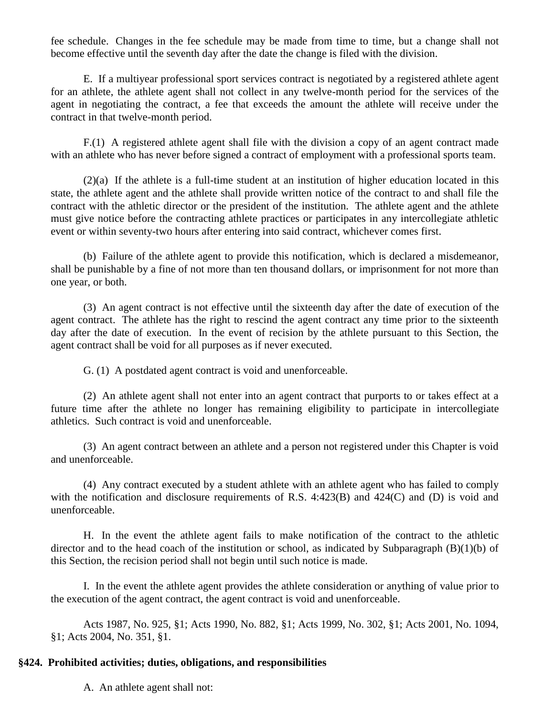fee schedule. Changes in the fee schedule may be made from time to time, but a change shall not become effective until the seventh day after the date the change is filed with the division.

E. If a multiyear professional sport services contract is negotiated by a registered athlete agent for an athlete, the athlete agent shall not collect in any twelve-month period for the services of the agent in negotiating the contract, a fee that exceeds the amount the athlete will receive under the contract in that twelve-month period.

F.(1) A registered athlete agent shall file with the division a copy of an agent contract made with an athlete who has never before signed a contract of employment with a professional sports team.

(2)(a) If the athlete is a full-time student at an institution of higher education located in this state, the athlete agent and the athlete shall provide written notice of the contract to and shall file the contract with the athletic director or the president of the institution. The athlete agent and the athlete must give notice before the contracting athlete practices or participates in any intercollegiate athletic event or within seventy-two hours after entering into said contract, whichever comes first.

(b) Failure of the athlete agent to provide this notification, which is declared a misdemeanor, shall be punishable by a fine of not more than ten thousand dollars, or imprisonment for not more than one year, or both.

(3) An agent contract is not effective until the sixteenth day after the date of execution of the agent contract. The athlete has the right to rescind the agent contract any time prior to the sixteenth day after the date of execution. In the event of recision by the athlete pursuant to this Section, the agent contract shall be void for all purposes as if never executed.

G. (1) A postdated agent contract is void and unenforceable.

(2) An athlete agent shall not enter into an agent contract that purports to or takes effect at a future time after the athlete no longer has remaining eligibility to participate in intercollegiate athletics. Such contract is void and unenforceable.

(3) An agent contract between an athlete and a person not registered under this Chapter is void and unenforceable.

(4) Any contract executed by a student athlete with an athlete agent who has failed to comply with the notification and disclosure requirements of R.S. 4:423(B) and 424(C) and (D) is void and unenforceable.

H. In the event the athlete agent fails to make notification of the contract to the athletic director and to the head coach of the institution or school, as indicated by Subparagraph  $(B)(1)(b)$  of this Section, the recision period shall not begin until such notice is made.

I. In the event the athlete agent provides the athlete consideration or anything of value prior to the execution of the agent contract, the agent contract is void and unenforceable.

Acts 1987, No. 925, §1; Acts 1990, No. 882, §1; Acts 1999, No. 302, §1; Acts 2001, No. 1094, §1; Acts 2004, No. 351, §1.

## **§424. Prohibited activities; duties, obligations, and responsibilities**

A. An athlete agent shall not: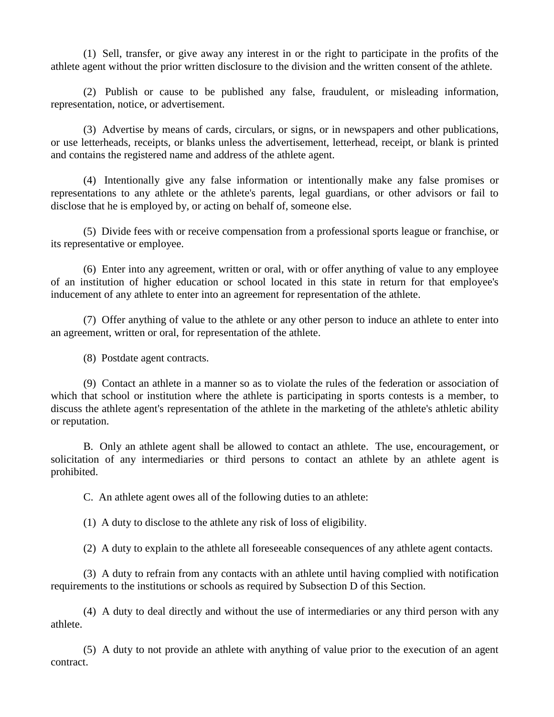(1) Sell, transfer, or give away any interest in or the right to participate in the profits of the athlete agent without the prior written disclosure to the division and the written consent of the athlete.

(2) Publish or cause to be published any false, fraudulent, or misleading information, representation, notice, or advertisement.

(3) Advertise by means of cards, circulars, or signs, or in newspapers and other publications, or use letterheads, receipts, or blanks unless the advertisement, letterhead, receipt, or blank is printed and contains the registered name and address of the athlete agent.

(4) Intentionally give any false information or intentionally make any false promises or representations to any athlete or the athlete's parents, legal guardians, or other advisors or fail to disclose that he is employed by, or acting on behalf of, someone else.

(5) Divide fees with or receive compensation from a professional sports league or franchise, or its representative or employee.

(6) Enter into any agreement, written or oral, with or offer anything of value to any employee of an institution of higher education or school located in this state in return for that employee's inducement of any athlete to enter into an agreement for representation of the athlete.

(7) Offer anything of value to the athlete or any other person to induce an athlete to enter into an agreement, written or oral, for representation of the athlete.

(8) Postdate agent contracts.

(9) Contact an athlete in a manner so as to violate the rules of the federation or association of which that school or institution where the athlete is participating in sports contests is a member, to discuss the athlete agent's representation of the athlete in the marketing of the athlete's athletic ability or reputation.

B. Only an athlete agent shall be allowed to contact an athlete. The use, encouragement, or solicitation of any intermediaries or third persons to contact an athlete by an athlete agent is prohibited.

C. An athlete agent owes all of the following duties to an athlete:

(1) A duty to disclose to the athlete any risk of loss of eligibility.

(2) A duty to explain to the athlete all foreseeable consequences of any athlete agent contacts.

(3) A duty to refrain from any contacts with an athlete until having complied with notification requirements to the institutions or schools as required by Subsection D of this Section.

(4) A duty to deal directly and without the use of intermediaries or any third person with any athlete.

(5) A duty to not provide an athlete with anything of value prior to the execution of an agent contract.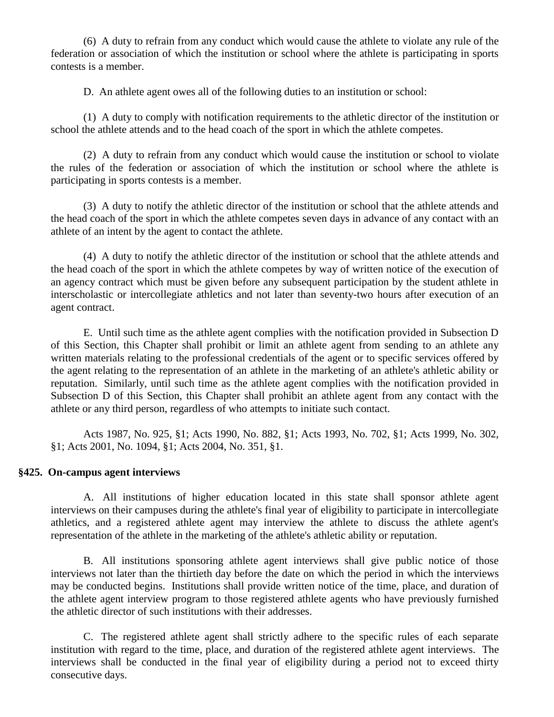(6) A duty to refrain from any conduct which would cause the athlete to violate any rule of the federation or association of which the institution or school where the athlete is participating in sports contests is a member.

D. An athlete agent owes all of the following duties to an institution or school:

(1) A duty to comply with notification requirements to the athletic director of the institution or school the athlete attends and to the head coach of the sport in which the athlete competes.

(2) A duty to refrain from any conduct which would cause the institution or school to violate the rules of the federation or association of which the institution or school where the athlete is participating in sports contests is a member.

(3) A duty to notify the athletic director of the institution or school that the athlete attends and the head coach of the sport in which the athlete competes seven days in advance of any contact with an athlete of an intent by the agent to contact the athlete.

(4) A duty to notify the athletic director of the institution or school that the athlete attends and the head coach of the sport in which the athlete competes by way of written notice of the execution of an agency contract which must be given before any subsequent participation by the student athlete in interscholastic or intercollegiate athletics and not later than seventy-two hours after execution of an agent contract.

E. Until such time as the athlete agent complies with the notification provided in Subsection D of this Section, this Chapter shall prohibit or limit an athlete agent from sending to an athlete any written materials relating to the professional credentials of the agent or to specific services offered by the agent relating to the representation of an athlete in the marketing of an athlete's athletic ability or reputation. Similarly, until such time as the athlete agent complies with the notification provided in Subsection D of this Section, this Chapter shall prohibit an athlete agent from any contact with the athlete or any third person, regardless of who attempts to initiate such contact.

Acts 1987, No. 925, §1; Acts 1990, No. 882, §1; Acts 1993, No. 702, §1; Acts 1999, No. 302, §1; Acts 2001, No. 1094, §1; Acts 2004, No. 351, §1.

#### **§425. On-campus agent interviews**

A. All institutions of higher education located in this state shall sponsor athlete agent interviews on their campuses during the athlete's final year of eligibility to participate in intercollegiate athletics, and a registered athlete agent may interview the athlete to discuss the athlete agent's representation of the athlete in the marketing of the athlete's athletic ability or reputation.

B. All institutions sponsoring athlete agent interviews shall give public notice of those interviews not later than the thirtieth day before the date on which the period in which the interviews may be conducted begins. Institutions shall provide written notice of the time, place, and duration of the athlete agent interview program to those registered athlete agents who have previously furnished the athletic director of such institutions with their addresses.

C. The registered athlete agent shall strictly adhere to the specific rules of each separate institution with regard to the time, place, and duration of the registered athlete agent interviews. The interviews shall be conducted in the final year of eligibility during a period not to exceed thirty consecutive days.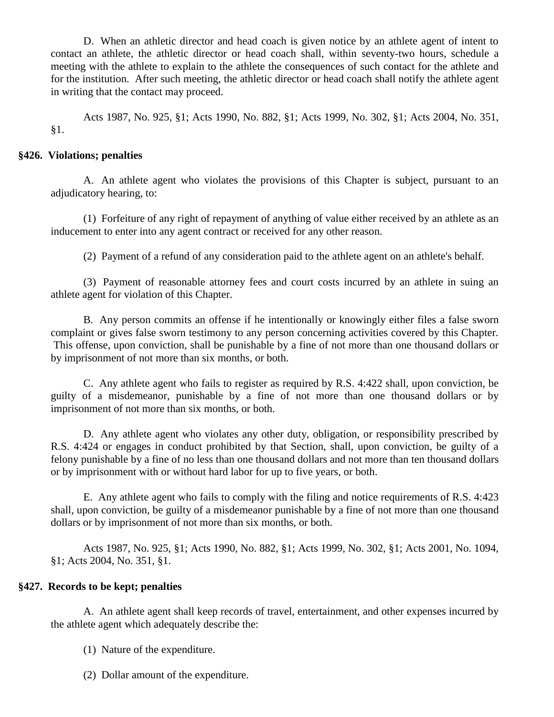D. When an athletic director and head coach is given notice by an athlete agent of intent to contact an athlete, the athletic director or head coach shall, within seventy-two hours, schedule a meeting with the athlete to explain to the athlete the consequences of such contact for the athlete and for the institution. After such meeting, the athletic director or head coach shall notify the athlete agent in writing that the contact may proceed.

Acts 1987, No. 925, §1; Acts 1990, No. 882, §1; Acts 1999, No. 302, §1; Acts 2004, No. 351, §1.

## **§426. Violations; penalties**

A. An athlete agent who violates the provisions of this Chapter is subject, pursuant to an adjudicatory hearing, to:

(1) Forfeiture of any right of repayment of anything of value either received by an athlete as an inducement to enter into any agent contract or received for any other reason.

(2) Payment of a refund of any consideration paid to the athlete agent on an athlete's behalf.

(3) Payment of reasonable attorney fees and court costs incurred by an athlete in suing an athlete agent for violation of this Chapter.

B. Any person commits an offense if he intentionally or knowingly either files a false sworn complaint or gives false sworn testimony to any person concerning activities covered by this Chapter. This offense, upon conviction, shall be punishable by a fine of not more than one thousand dollars or by imprisonment of not more than six months, or both.

C. Any athlete agent who fails to register as required by R.S. 4:422 shall, upon conviction, be guilty of a misdemeanor, punishable by a fine of not more than one thousand dollars or by imprisonment of not more than six months, or both.

D. Any athlete agent who violates any other duty, obligation, or responsibility prescribed by R.S. 4:424 or engages in conduct prohibited by that Section, shall, upon conviction, be guilty of a felony punishable by a fine of no less than one thousand dollars and not more than ten thousand dollars or by imprisonment with or without hard labor for up to five years, or both.

E. Any athlete agent who fails to comply with the filing and notice requirements of R.S. 4:423 shall, upon conviction, be guilty of a misdemeanor punishable by a fine of not more than one thousand dollars or by imprisonment of not more than six months, or both.

Acts 1987, No. 925, §1; Acts 1990, No. 882, §1; Acts 1999, No. 302, §1; Acts 2001, No. 1094, §1; Acts 2004, No. 351, §1.

## **§427. Records to be kept; penalties**

A. An athlete agent shall keep records of travel, entertainment, and other expenses incurred by the athlete agent which adequately describe the:

- (1) Nature of the expenditure.
- (2) Dollar amount of the expenditure.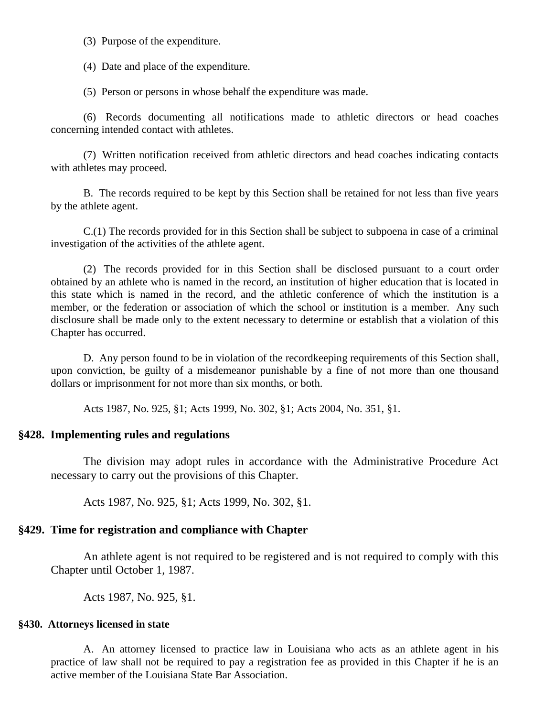(3) Purpose of the expenditure.

(4) Date and place of the expenditure.

(5) Person or persons in whose behalf the expenditure was made.

(6) Records documenting all notifications made to athletic directors or head coaches concerning intended contact with athletes.

(7) Written notification received from athletic directors and head coaches indicating contacts with athletes may proceed.

B. The records required to be kept by this Section shall be retained for not less than five years by the athlete agent.

C.(1) The records provided for in this Section shall be subject to subpoena in case of a criminal investigation of the activities of the athlete agent.

(2) The records provided for in this Section shall be disclosed pursuant to a court order obtained by an athlete who is named in the record, an institution of higher education that is located in this state which is named in the record, and the athletic conference of which the institution is a member, or the federation or association of which the school or institution is a member. Any such disclosure shall be made only to the extent necessary to determine or establish that a violation of this Chapter has occurred.

D. Any person found to be in violation of the recordkeeping requirements of this Section shall, upon conviction, be guilty of a misdemeanor punishable by a fine of not more than one thousand dollars or imprisonment for not more than six months, or both.

Acts 1987, No. 925, §1; Acts 1999, No. 302, §1; Acts 2004, No. 351, §1.

## **§428. Implementing rules and regulations**

The division may adopt rules in accordance with the Administrative Procedure Act necessary to carry out the provisions of this Chapter.

Acts 1987, No. 925, §1; Acts 1999, No. 302, §1.

## **§429. Time for registration and compliance with Chapter**

An athlete agent is not required to be registered and is not required to comply with this Chapter until October 1, 1987.

Acts 1987, No. 925, §1.

#### **§430. Attorneys licensed in state**

A. An attorney licensed to practice law in Louisiana who acts as an athlete agent in his practice of law shall not be required to pay a registration fee as provided in this Chapter if he is an active member of the Louisiana State Bar Association.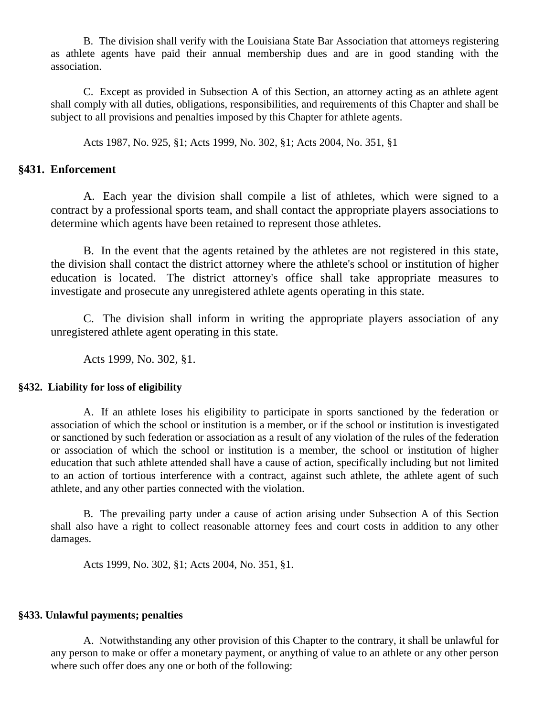B. The division shall verify with the Louisiana State Bar Association that attorneys registering as athlete agents have paid their annual membership dues and are in good standing with the association.

C. Except as provided in Subsection A of this Section, an attorney acting as an athlete agent shall comply with all duties, obligations, responsibilities, and requirements of this Chapter and shall be subject to all provisions and penalties imposed by this Chapter for athlete agents.

Acts 1987, No. 925, §1; Acts 1999, No. 302, §1; Acts 2004, No. 351, §1

### **§431. Enforcement**

A. Each year the division shall compile a list of athletes, which were signed to a contract by a professional sports team, and shall contact the appropriate players associations to determine which agents have been retained to represent those athletes.

B. In the event that the agents retained by the athletes are not registered in this state, the division shall contact the district attorney where the athlete's school or institution of higher education is located. The district attorney's office shall take appropriate measures to investigate and prosecute any unregistered athlete agents operating in this state.

C. The division shall inform in writing the appropriate players association of any unregistered athlete agent operating in this state.

Acts 1999, No. 302, §1.

### **§432. Liability for loss of eligibility**

A. If an athlete loses his eligibility to participate in sports sanctioned by the federation or association of which the school or institution is a member, or if the school or institution is investigated or sanctioned by such federation or association as a result of any violation of the rules of the federation or association of which the school or institution is a member, the school or institution of higher education that such athlete attended shall have a cause of action, specifically including but not limited to an action of tortious interference with a contract, against such athlete, the athlete agent of such athlete, and any other parties connected with the violation.

B. The prevailing party under a cause of action arising under Subsection A of this Section shall also have a right to collect reasonable attorney fees and court costs in addition to any other damages.

Acts 1999, No. 302, §1; Acts 2004, No. 351, §1.

#### **§433. Unlawful payments; penalties**

A. Notwithstanding any other provision of this Chapter to the contrary, it shall be unlawful for any person to make or offer a monetary payment, or anything of value to an athlete or any other person where such offer does any one or both of the following: